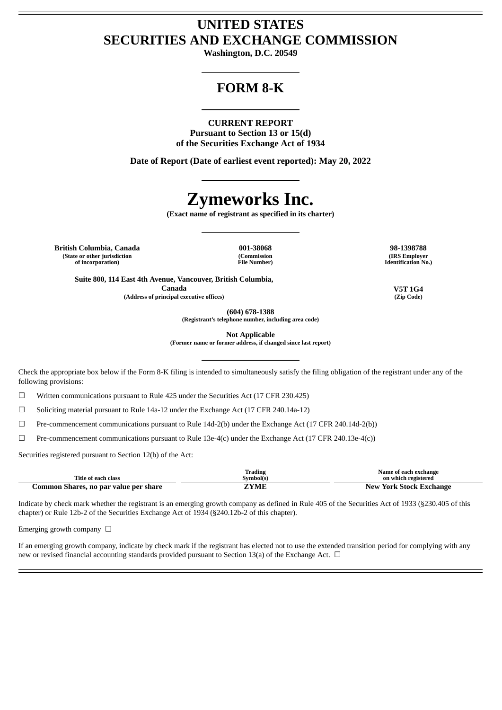# **UNITED STATES SECURITIES AND EXCHANGE COMMISSION**

**Washington, D.C. 20549**

# **FORM 8-K**

#### **CURRENT REPORT**

**Pursuant to Section 13 or 15(d) of the Securities Exchange Act of 1934**

**Date of Report (Date of earliest event reported): May 20, 2022**

# **Zymeworks Inc.**

**(Exact name of registrant as specified in its charter)**

**British Columbia, Canada 001-38068 98-1398788 (State or other jurisdiction of incorporation)**

**(Commission File Number)**

**(IRS Employer Identification No.)**

**Suite 800, 114 East 4th Avenue, Vancouver, British Columbia, Canada V5T 1G4 (Address of principal executive offices) (Zip Code)**

**(604) 678-1388**

**(Registrant's telephone number, including area code)**

**Not Applicable**

**(Former name or former address, if changed since last report)**

Check the appropriate box below if the Form 8-K filing is intended to simultaneously satisfy the filing obligation of the registrant under any of the following provisions:

☐ Written communications pursuant to Rule 425 under the Securities Act (17 CFR 230.425)

☐ Soliciting material pursuant to Rule 14a-12 under the Exchange Act (17 CFR 240.14a-12)

☐ Pre-commencement communications pursuant to Rule 14d-2(b) under the Exchange Act (17 CFR 240.14d-2(b))

 $\Box$  Pre-commencement communications pursuant to Rule 13e-4(c) under the Exchange Act (17 CFR 240.13e-4(c))

Securities registered pursuant to Section 12(b) of the Act:

| Title of each class                   | Trading<br>Svmbol(s) | Name of each exchange<br>on which registered |
|---------------------------------------|----------------------|----------------------------------------------|
| Common Shares, no par value per share | ZYME                 | <b>New York Stock Exchange</b>               |

Indicate by check mark whether the registrant is an emerging growth company as defined in Rule 405 of the Securities Act of 1933 (§230.405 of this chapter) or Rule 12b-2 of the Securities Exchange Act of 1934 (§240.12b-2 of this chapter).

Emerging growth company  $\Box$ 

If an emerging growth company, indicate by check mark if the registrant has elected not to use the extended transition period for complying with any new or revised financial accounting standards provided pursuant to Section 13(a) of the Exchange Act.  $\Box$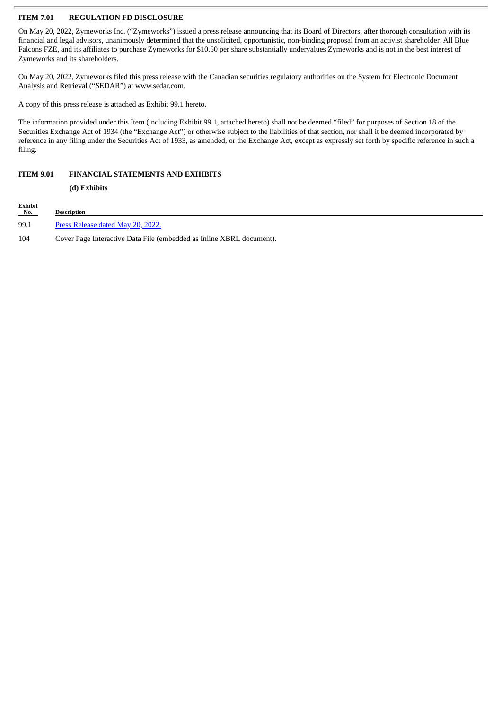## **ITEM 7.01 REGULATION FD DISCLOSURE**

On May 20, 2022, Zymeworks Inc. ("Zymeworks") issued a press release announcing that its Board of Directors, after thorough consultation with its financial and legal advisors, unanimously determined that the unsolicited, opportunistic, non-binding proposal from an activist shareholder, All Blue Falcons FZE, and its affiliates to purchase Zymeworks for \$10.50 per share substantially undervalues Zymeworks and is not in the best interest of Zymeworks and its shareholders.

On May 20, 2022, Zymeworks filed this press release with the Canadian securities regulatory authorities on the System for Electronic Document Analysis and Retrieval ("SEDAR") at www.sedar.com.

A copy of this press release is attached as Exhibit 99.1 hereto.

The information provided under this Item (including Exhibit 99.1, attached hereto) shall not be deemed "filed" for purposes of Section 18 of the Securities Exchange Act of 1934 (the "Exchange Act") or otherwise subject to the liabilities of that section, nor shall it be deemed incorporated by reference in any filing under the Securities Act of 1933, as amended, or the Exchange Act, except as expressly set forth by specific reference in such a filing.

### **ITEM 9.01 FINANCIAL STATEMENTS AND EXHIBITS**

**(d) Exhibits**

| Exhibit<br>No. | <b>Description</b>                                                   |
|----------------|----------------------------------------------------------------------|
| 99.1           | Press Release dated May 20, 2022.                                    |
| 104            | Cover Page Interactive Data File (embedded as Inline XBRL document). |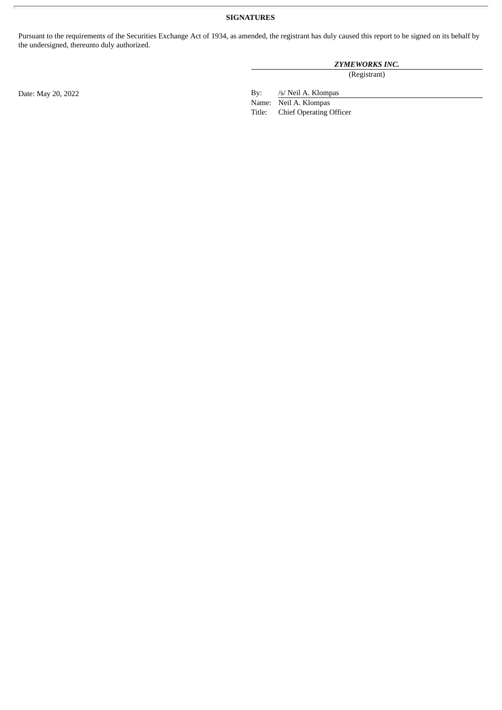# **SIGNATURES**

Pursuant to the requirements of the Securities Exchange Act of 1934, as amended, the registrant has duly caused this report to be signed on its behalf by the undersigned, thereunto duly authorized.

# *ZYMEWORKS INC.*

(Registrant)

Date: May 20, 2022 By: /s/ Neil A. Klompas

Name: Neil A. Klompas Title: Chief Operating Officer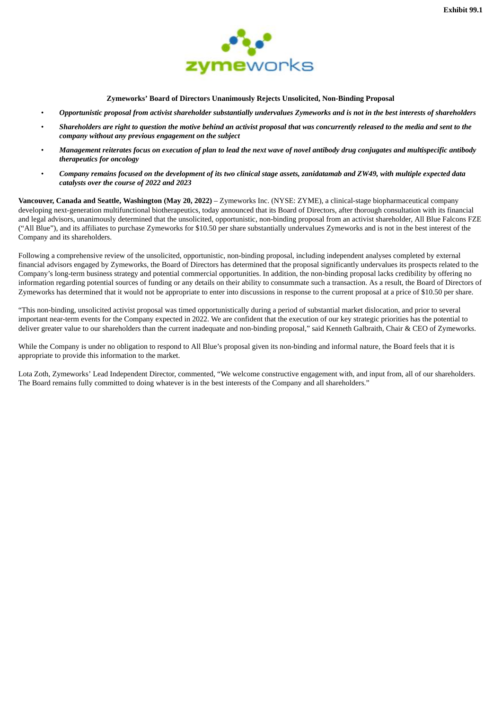

**Zymeworks' Board of Directors Unanimously Rejects Unsolicited, Non-Binding Proposal**

- <span id="page-3-0"></span>Opportunistic proposal from activist shareholder substantially undervalues Zymeworks and is not in the best interests of shareholders
- Shareholders are right to question the motive behind an activist proposal that was concurrently released to the media and sent to the *company without any previous engagement on the subject*
- Management reiterates focus on execution of plan to lead the next wave of novel antibody drug conjugates and multispecific antibody *therapeutics for oncology*
- Company remains focused on the development of its two clinical stage assets, zanidatamab and ZW49, with multiple expected data *catalysts over the course of 2022 and 2023*

**Vancouver, Canada and Seattle, Washington (May 20, 2022)** – Zymeworks Inc. (NYSE: ZYME), a clinical-stage biopharmaceutical company developing next-generation multifunctional biotherapeutics, today announced that its Board of Directors, after thorough consultation with its financial and legal advisors, unanimously determined that the unsolicited, opportunistic, non-binding proposal from an activist shareholder, All Blue Falcons FZE ("All Blue"), and its affiliates to purchase Zymeworks for \$10.50 per share substantially undervalues Zymeworks and is not in the best interest of the Company and its shareholders.

Following a comprehensive review of the unsolicited, opportunistic, non-binding proposal, including independent analyses completed by external financial advisors engaged by Zymeworks, the Board of Directors has determined that the proposal significantly undervalues its prospects related to the Company's long-term business strategy and potential commercial opportunities. In addition, the non-binding proposal lacks credibility by offering no information regarding potential sources of funding or any details on their ability to consummate such a transaction. As a result, the Board of Directors of Zymeworks has determined that it would not be appropriate to enter into discussions in response to the current proposal at a price of \$10.50 per share.

"This non-binding, unsolicited activist proposal was timed opportunistically during a period of substantial market dislocation, and prior to several important near-term events for the Company expected in 2022. We are confident that the execution of our key strategic priorities has the potential to deliver greater value to our shareholders than the current inadequate and non-binding proposal," said Kenneth Galbraith, Chair & CEO of Zymeworks.

While the Company is under no obligation to respond to All Blue's proposal given its non-binding and informal nature, the Board feels that it is appropriate to provide this information to the market.

Lota Zoth, Zymeworks' Lead Independent Director, commented, "We welcome constructive engagement with, and input from, all of our shareholders. The Board remains fully committed to doing whatever is in the best interests of the Company and all shareholders."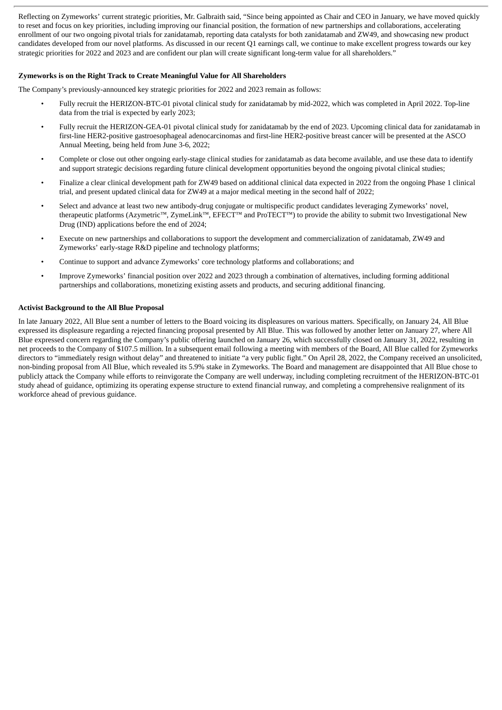Reflecting on Zymeworks' current strategic priorities, Mr. Galbraith said, "Since being appointed as Chair and CEO in January, we have moved quickly to reset and focus on key priorities, including improving our financial position, the formation of new partnerships and collaborations, accelerating enrollment of our two ongoing pivotal trials for zanidatamab, reporting data catalysts for both zanidatamab and ZW49, and showcasing new product candidates developed from our novel platforms. As discussed in our recent Q1 earnings call, we continue to make excellent progress towards our key strategic priorities for 2022 and 2023 and are confident our plan will create significant long-term value for all shareholders."

# **Zymeworks is on the Right Track to Create Meaningful Value for All Shareholders**

The Company's previously-announced key strategic priorities for 2022 and 2023 remain as follows:

- Fully recruit the HERIZON-BTC-01 pivotal clinical study for zanidatamab by mid-2022, which was completed in April 2022. Top-line data from the trial is expected by early 2023;
- Fully recruit the HERIZON-GEA-01 pivotal clinical study for zanidatamab by the end of 2023. Upcoming clinical data for zanidatamab in first-line HER2-positive gastroesophageal adenocarcinomas and first-line HER2-positive breast cancer will be presented at the ASCO Annual Meeting, being held from June 3-6, 2022;
- Complete or close out other ongoing early-stage clinical studies for zanidatamab as data become available, and use these data to identify and support strategic decisions regarding future clinical development opportunities beyond the ongoing pivotal clinical studies;
- Finalize a clear clinical development path for ZW49 based on additional clinical data expected in 2022 from the ongoing Phase 1 clinical trial, and present updated clinical data for ZW49 at a major medical meeting in the second half of 2022;
- Select and advance at least two new antibody-drug conjugate or multispecific product candidates leveraging Zymeworks' novel, therapeutic platforms (Azymetric™, ZymeLink™, EFECT™ and ProTECT™) to provide the ability to submit two Investigational New Drug (IND) applications before the end of 2024;
- Execute on new partnerships and collaborations to support the development and commercialization of zanidatamab, ZW49 and Zymeworks' early-stage R&D pipeline and technology platforms;
- Continue to support and advance Zymeworks' core technology platforms and collaborations; and
- Improve Zymeworks' financial position over 2022 and 2023 through a combination of alternatives, including forming additional partnerships and collaborations, monetizing existing assets and products, and securing additional financing.

# **Activist Background to the All Blue Proposal**

In late January 2022, All Blue sent a number of letters to the Board voicing its displeasures on various matters. Specifically, on January 24, All Blue expressed its displeasure regarding a rejected financing proposal presented by All Blue. This was followed by another letter on January 27, where All Blue expressed concern regarding the Company's public offering launched on January 26, which successfully closed on January 31, 2022, resulting in net proceeds to the Company of \$107.5 million. In a subsequent email following a meeting with members of the Board, All Blue called for Zymeworks directors to "immediately resign without delay" and threatened to initiate "a very public fight." On April 28, 2022, the Company received an unsolicited, non-binding proposal from All Blue, which revealed its 5.9% stake in Zymeworks. The Board and management are disappointed that All Blue chose to publicly attack the Company while efforts to reinvigorate the Company are well underway, including completing recruitment of the HERIZON-BTC-01 study ahead of guidance, optimizing its operating expense structure to extend financial runway, and completing a comprehensive realignment of its workforce ahead of previous guidance.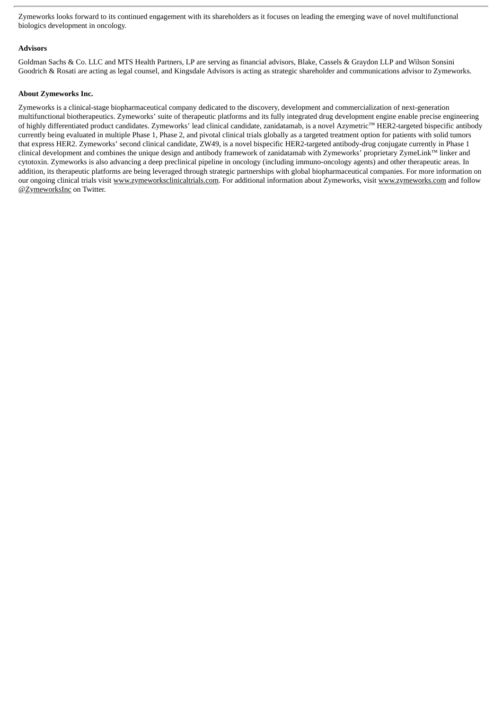Zymeworks looks forward to its continued engagement with its shareholders as it focuses on leading the emerging wave of novel multifunctional biologics development in oncology.

#### **Advisors**

Goldman Sachs & Co. LLC and MTS Health Partners, LP are serving as financial advisors, Blake, Cassels & Graydon LLP and Wilson Sonsini Goodrich & Rosati are acting as legal counsel, and Kingsdale Advisors is acting as strategic shareholder and communications advisor to Zymeworks.

## **About Zymeworks Inc.**

Zymeworks is a clinical-stage biopharmaceutical company dedicated to the discovery, development and commercialization of next-generation multifunctional biotherapeutics. Zymeworks' suite of therapeutic platforms and its fully integrated drug development engine enable precise engineering of highly differentiated product candidates. Zymeworks' lead clinical candidate, zanidatamab, is a novel Azymetric™ HER2-targeted bispecific antibody currently being evaluated in multiple Phase 1, Phase 2, and pivotal clinical trials globally as a targeted treatment option for patients with solid tumors that express HER2. Zymeworks' second clinical candidate, ZW49, is a novel bispecific HER2-targeted antibody-drug conjugate currently in Phase 1 clinical development and combines the unique design and antibody framework of zanidatamab with Zymeworks' proprietary ZymeLink™ linker and cytotoxin. Zymeworks is also advancing a deep preclinical pipeline in oncology (including immuno-oncology agents) and other therapeutic areas. In addition, its therapeutic platforms are being leveraged through strategic partnerships with global biopharmaceutical companies. For more information on our ongoing clinical trials visit www.zymeworksclinicaltrials.com. For additional information about Zymeworks, visit www.zymeworks.com and follow @ZymeworksInc on Twitter.